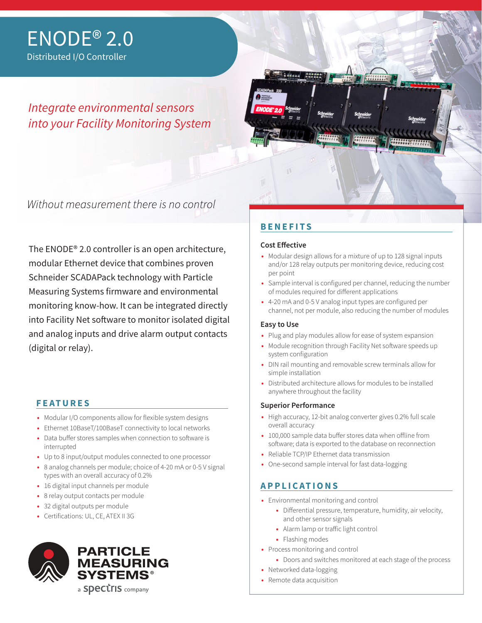# *Integrate environmental sensors into your Facility Monitoring System*



Without measurement there is no control

The ENODE® 2.0 controller is an open architecture, modular Ethernet device that combines proven Schneider SCADAPack technology with Particle Measuring Systems firmware and environmental monitoring know-how. It can be integrated directly into Facility Net software to monitor isolated digital and analog inputs and drive alarm output contacts (digital or relay).

## **FEATURES**

- **•** Modular I/O components allow for flexible system designs
- **•** Ethernet 10BaseT/100BaseT connectivity to local networks **•** Data buffer stores samples when connection to software is
- interrupted
- **•** Up to 8 input/output modules connected to one processor
- **•** 8 analog channels per module; choice of 4-20 mA or 0-5 V signal types with an overall accuracy of 0.2%
- **•** 16 digital input channels per module
- **•** 8 relay output contacts per module
- **•** 32 digital outputs per module
- **•** Certifications: UL, CE, ATEX II 3G



# **BENEFITS**

### **Cost Effective**

- **•** Modular design allows for a mixture of up to 128 signal inputs and/or 128 relay outputs per monitoring device, reducing cost per point
- **•** Sample interval is configured per channel, reducing the number of modules required for different applications
- **•** 4-20 mA and 0-5 V analog input types are configured per channel, not per module, also reducing the number of modules

### **Easy to Use**

- **•** Plug and play modules allow for ease of system expansion
- **•** Module recognition through Facility Net software speeds up system configuration
- **•** DIN rail mounting and removable screw terminals allow for simple installation
- **•** Distributed architecture allows for modules to be installed anywhere throughout the facility

### **Superior Performance**

- **•** High accuracy, 12-bit analog converter gives 0.2% full scale overall accuracy
- **•** 100,000 sample data buffer stores data when offline from software; data is exported to the database on reconnection
- **•** Reliable TCP/IP Ethernet data transmission
- **•** One-second sample interval for fast data-logging

## **APPLICATIONS**

- **•** Environmental monitoring and control
	- **•** Differential pressure, temperature, humidity, air velocity, and other sensor signals
	- **•** Alarm lamp or traffic light control
	- **•** Flashing modes
- **•** Process monitoring and control
	- **•** Doors and switches monitored at each stage of the process
- **•** Networked data-logging
- **•** Remote data acquisition